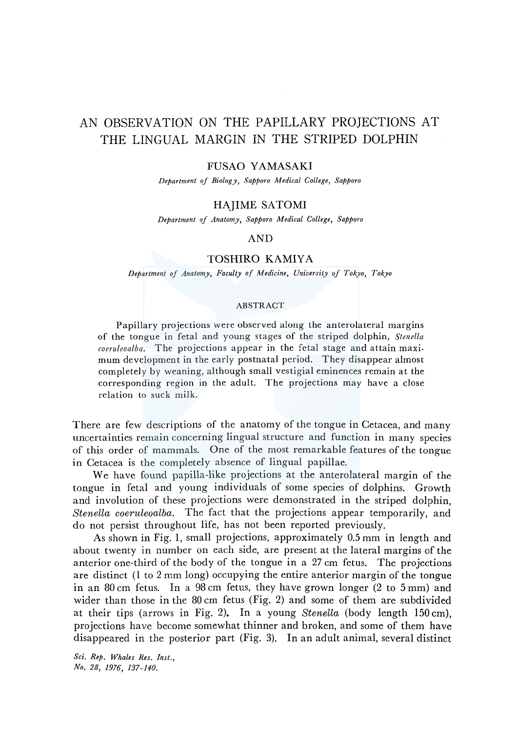# AN OBSERVATION ON THE PAPILLARY PROJECTIONS AT THE LINGUAL MARGIN IN THE STRIPED DOLPHIN

#### FUSAO YAMASAKI

*Department of Biology, Sapporo Medical College, Sapporo* 

#### HAJIME SATOMI

*Department of Anatomy, Sapporo Medical College, Sapporo* 

### AND

#### TOSHIRO KAMIYA

*Department of Anatomy, Faculty of Nfedicine, University of Tokyo, Tokyo* 

#### ABSTRACT

Papillary projections were observed along the anterolateral margins of the tongue in fetal and young stages of the striped dolphin, *Stenella coeruleoalba.* The projections appear in the fetal stage and attain maximum development in the early postnatal period. They disappear almost completely by weaning, although small vestigial eminences remain at the corresponding region in the adult. The projections may have a close relation to suck milk.

There are few descriptions of the anatomy of the tongue in Cetacea, and many uncertainties remain concerning lingual structure and function in many species of this order of mammals. One of the most remarkable features of the tongue in Cetacea is the completely absence of lingual papillae.

We have found papilla-like projections at the anterolateral margin of the tongue in fetal and young individuals of some species of dolphins. Growth and involution of these projections were demonstrated in the striped dolphin, *Stenella coeruleoalba.* The fact that the projections appear temporarily, and do not persist throughout life, has not been reported previously.

As shown in Fig. 1, small projections, approximately 0.5 mm in length and about twenty in number on each side, are present at the lateral margins of the anterior one-third of the body of the tongue in a 27 cm fetus. The projections are distinct (1 to 2 mm long) occupying the entire anterior margin of *the* tongue in an 80 cm fetus. In a 98 cm fetus, they have grown longer (2 to 5 mm) and wider than those in the 80 cm fetus (Fig. 2) and some of *them* are subdivided at their tips (arrows in Fig. 2). In a young *Stenella* (body length 150 cm), projections have become somewhat thinner and broken, and some of them have disappeared in the posterior part (Fig. 3). In an adult animal, several distinct

*Sci. Rep. Whales Res. Inst., No. 28, 1976, 137-140.*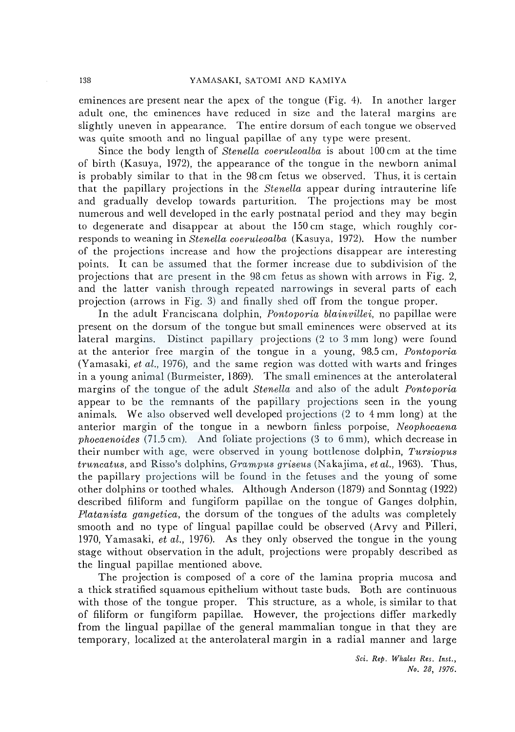eminences are present near the apex of the tongue (Fig. 4). In another larger adult one, the eminences have reduced in size and the lateral margins are slightly uneven in appearance. The entire dorsum of each tongue we observed was quite smooth and no lingual papillae of any type were present.

Since the body length of *Stenella coeriileoalba* is about 100 cm at the time of birth (Kasuya, 1972), the appearance of the tongue in the newborn animal is probably similar to that in the 98 cm fetus we observed. Thus, it is certain that the papillary projections in the *Stenella* appear during intrauterine life and gradually develop towards parturition. The projections may be most numerous and well developed in the early postnatal period and they may begin to degenerate and disappear at about the 150 cm stage, which roughly corresponds to weaning in *Stenella coeritleoalba* (Kasuya, 1972). How the number of the projections increase and how the projections disappear are interesting points. It can be assumed that the former increase due to subdivision of the projections that arc present in the 98 cm fetus as shown with arrows in Fig. 2, and the latter vanish through repeated narrowings in several parts of each projection (arrows in Fig. 3) and finally shed off from the tongue proper.

In the adult Franciscana dolphin, *Pontoporia blainvillei,* no papillae were present on the dorsum of the tongue but small eminences were observed at its lateral margins. Distinct papillary projections (2 to 3 mm long) were found at the anterior free margin of the tongue in a young, 98.5 cm, *Pontoporia*  (Yamasaki, *et al.,* 1976), and the same region was dotted with warts and fringes in a young animal (Burmeister, 1869). The small eminences at the anterolateral margins of the tongue of the adult *Stenella* and also of the adult *Pontoporia*  appear to be the remnants of the papillary projections seen in the young animals. We also observed well developed projections (2 to 4 mm long) at the anterior margin of the tongue in a newborn finless porpoise, *Neophocaena phocaenoides* (71.5 cm). And foliate projections (3 to 6 mm), which decrease in their number with age, were observed in young bottlenose dolphin, *Tursiopus truncatus,* and Risso's dolphins, *Grampus griseus* (Nakajima, *et aL,* 1963). Thus, the papillary projections will be found in the fetuses and the young of some other dolphins or toothed whales. Although Anderson (1879) and Sonntag (1922) described filiform and fungiform papillae on the tongue of Ganges dolphin, *Platanista gangetica,* the dorsum of the tongues of the adults was completely smooth and no type of lingual papillae could be observed (Arvy and Pilleri, 1970, Yamasaki, *et al.,* 1976). As they only observed the tongue in the young stage without observation in the adult, projections were propably described as the lingual papillae mentioned above.

The projection is composed of a core of the lamina propria mucosa and a thick stratified squamous epithelium without taste buds. Both are continuous with those of the tongue proper. This structure, as a whole, is similar to that of filiform or fungiform papillae. However, the projections differ markedly from the lingual papillae of the general mammalian tongue in that they are temporary, localized at the anterolateral margin in a radial manner and large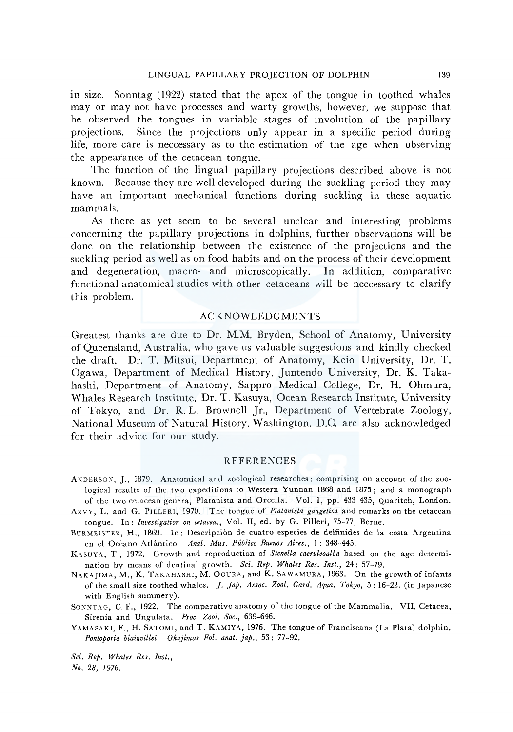m size. Sonntag (1922) stated that the apex of the tongue in toothed whales may or may not have processes and warty growths, however, we suppose that he observed the tongues in variable stages of involution of the papillary projections. Since the projections only appear in a specific period during life, more care is neccessary as to the estimation of the age when observing the appearance of the cetacean tongue.

The function of the lingual papillary projections described above is not known. Because they are well developed during the suckling period they may have an important mechanical functions during suckling in these aquatic mammals.

As there as yet seem to be several unclear and interesting problems concerning the papillary projections in dolphins, further observations will be done on the relationship between the existence of the projections and the suckling period as well as on food habits and on the process of their development and degeneration, macro- and microscopically. In addition, comparative functional anatomical studies with other cetaceans will be neccessary to clarify this problem.

#### ACKNOWLEDGMENTS

Greatest thanks are due to Dr. M.M. Bryden, School of Anatomy, University of Queensland, Australia, who gave us valuable suggestions and kindly checked the draft. Dr. T. Mitsui, Department of Anatomy, Keio University, Dr. T. Ogawa, Department of Medical History, Juntendo University, Dr. K. Takahashi, Department of Anatomy, Sappro Medical College, Dr. H. Ohmura, Whales Research Institute, Dr. T. Kasuya, Ocean Research Institute, University of Tokyo, and Dr. R. L. Brownell Jr., Department of Vertebrate Zoology, National Museum of Natural History, Washington, D.C. are also acknowledged for their advice for our study.

#### REFERENCES

- ANDERSON, J., 1879. Anatomical and zoological researches: comprising on account of the zoological results of the two expeditions to Western Yunnan 1868 and 1875; and a monograph of the two cetacean genera, Platanista and Orcella. Vol. 1, pp. 433-435, Quaritch, London.
- ARVY, L. and G. PILLERI, 1970. The tongue of *Platanista gangetica* and remarks on the cetacean tongue. In: *Investigation on cetacea.,* Vol. II, ed. by G. Pilleri, 75-77, Berne.
- BURMEISTER, H., 1869. In: Descripción de cuatro especies de delfinides de la costa Argentina en el Oceano Atlantico. *Anal. Mus. Publico Buenos Aires.,* 1 : 348-445.

KASUYA, T., 1972. Growth and reproduction of *Stenella caeruleoalba* based on the age determination by means of dentinal growth. *Sci. Rep. Whales Res. Inst.,* 24: 57-79.

NAKAJIMA, M., K. TAKAHASHI, M. 0GURA, and K. SAWAMURA, 1963. On the growth of infants of the small size toothed whales. *J. Jap. Assoc. Zool. Gard. Aqua. Tokyo,* 5: 16-22. (in Japanese with English summery).

SONNTAG, C. F., 1922. The comparative anatomy of the tongue of the Mammalia. VII, Cetacea, Sirenia and Ungulata. *Proc. Zool. Soc.,* 639-646.

YAMASAKI, F., H. SATOMI, and T. KAMIYA, 1976. The tongue of Franciscana (La Plata) dolphin, *Pontoporia blainvillei. Okajimas Fol. anat. jap.,* 53: 77-92.

*Sci. Rep. Whales Res. Inst.,* 

*No. 28, 1976.*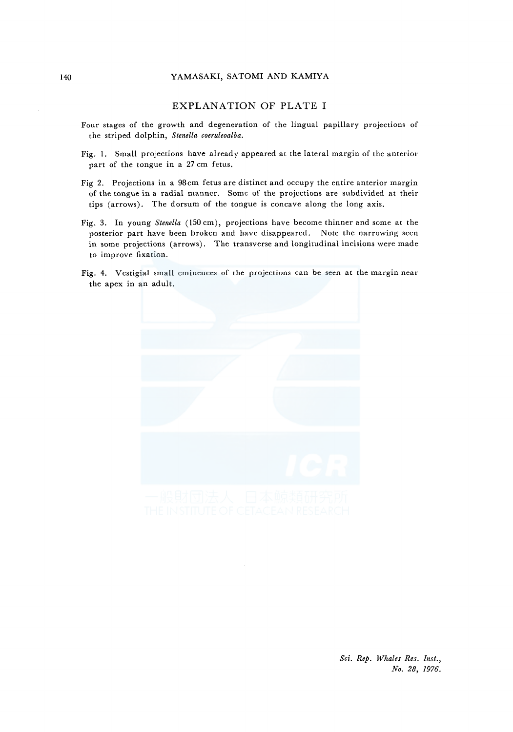#### 140 YAMASAKI, SATOMI AND KAMIYA

#### EXPLANATION OF PLATE I

- Four stages of the growth and degeneration of the lingual papillary projections of the striped dolphin, *Stenella coeruleoalba.*
- Fig. I. Small projections have already appeared at the lateral margin of the anterior part of the tongue in a 27 cm fetus.
- Fig 2. Projections in a 98cm fetus are distinct and occupy the entire anterior margin of the tongue in a radial manner. Some of the projections are subdivided at their tips (arrows). The dorsum of the tongue is concave along the long axis.
- Fig. 3. In young *Stene/la* (150 cm), projections have become thinner and some at the posterior part have been broken and have disappeared. Note the narrowing seen in some projections (arrows). The transverse and longitudinal incisions were made to improve fixation.
- Fig. 4. Vestigial small eminences of the projections can be seen at the margin near the apex in an adult.



*Sci. Rep. Whales Res. Inst., No. 28, 1976.*